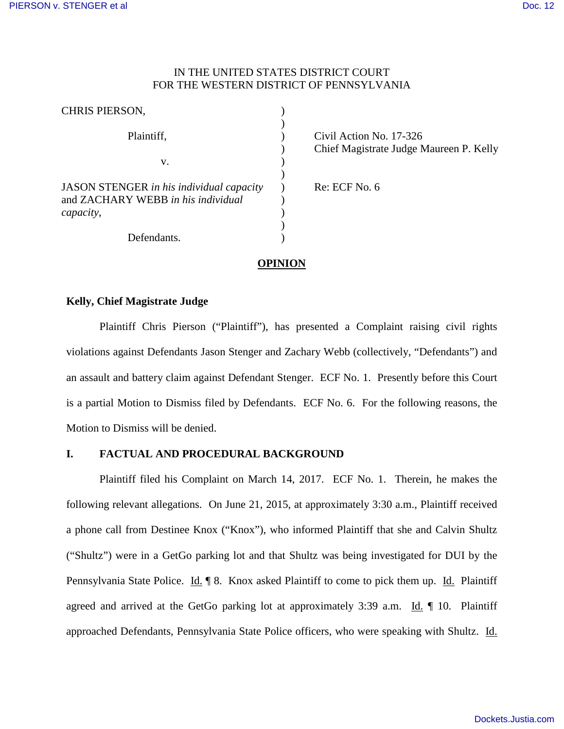## IN THE UNITED STATES DISTRICT COURT FOR THE WESTERN DISTRICT OF PENNSYLVANIA

| <b>CHRIS PIERSON,</b>                                                                              |  |
|----------------------------------------------------------------------------------------------------|--|
| Plaintiff,                                                                                         |  |
| V.                                                                                                 |  |
| <b>JASON STENGER</b> in his individual capacity<br>and ZACHARY WEBB in his individual<br>capacity, |  |
| Defendants.                                                                                        |  |

Civil Action No. 17-326 Chief Magistrate Judge Maureen P. Kelly

Re: ECF No. 6

# **OPINION**

### **Kelly, Chief Magistrate Judge**

Plaintiff Chris Pierson ("Plaintiff"), has presented a Complaint raising civil rights violations against Defendants Jason Stenger and Zachary Webb (collectively, "Defendants") and an assault and battery claim against Defendant Stenger. ECF No. 1. Presently before this Court is a partial Motion to Dismiss filed by Defendants. ECF No. 6. For the following reasons, the Motion to Dismiss will be denied.

## **I. FACTUAL AND PROCEDURAL BACKGROUND**

Plaintiff filed his Complaint on March 14, 2017. ECF No. 1. Therein, he makes the following relevant allegations. On June 21, 2015, at approximately 3:30 a.m., Plaintiff received a phone call from Destinee Knox ("Knox"), who informed Plaintiff that she and Calvin Shultz ("Shultz") were in a GetGo parking lot and that Shultz was being investigated for DUI by the Pennsylvania State Police. Id. ¶ 8. Knox asked Plaintiff to come to pick them up. Id. Plaintiff agreed and arrived at the GetGo parking lot at approximately 3:39 a.m. Id. ¶ 10. Plaintiff approached Defendants, Pennsylvania State Police officers, who were speaking with Shultz. Id.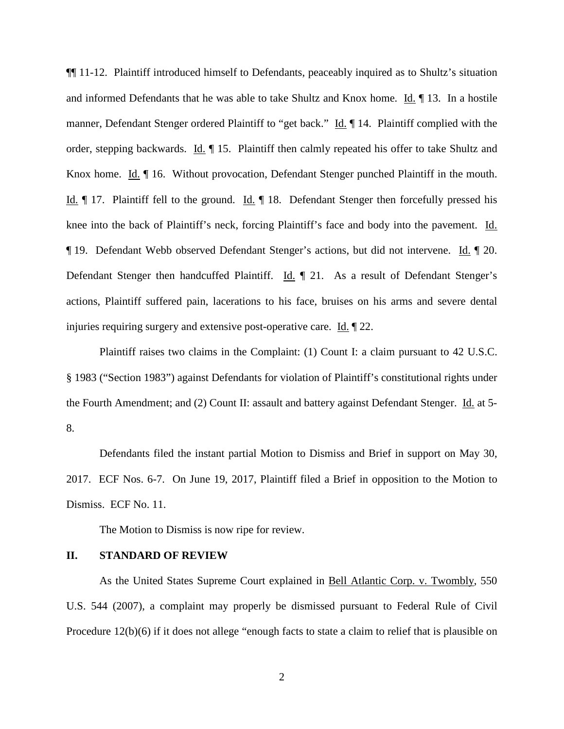¶¶ 11-12. Plaintiff introduced himself to Defendants, peaceably inquired as to Shultz's situation and informed Defendants that he was able to take Shultz and Knox home. Id. ¶ 13. In a hostile manner, Defendant Stenger ordered Plaintiff to "get back." Id. ¶ 14. Plaintiff complied with the order, stepping backwards. Id. ¶ 15. Plaintiff then calmly repeated his offer to take Shultz and Knox home. Id.  $\P$  16. Without provocation, Defendant Stenger punched Plaintiff in the mouth. Id. ¶ 17. Plaintiff fell to the ground. Id. ¶ 18. Defendant Stenger then forcefully pressed his knee into the back of Plaintiff's neck, forcing Plaintiff's face and body into the pavement. Id. ¶ 19. Defendant Webb observed Defendant Stenger's actions, but did not intervene. Id. ¶ 20. Defendant Stenger then handcuffed Plaintiff. Id. ¶ 21. As a result of Defendant Stenger's actions, Plaintiff suffered pain, lacerations to his face, bruises on his arms and severe dental injuries requiring surgery and extensive post-operative care. Id. ¶ 22.

Plaintiff raises two claims in the Complaint: (1) Count I: a claim pursuant to 42 U.S.C. § 1983 ("Section 1983") against Defendants for violation of Plaintiff's constitutional rights under the Fourth Amendment; and (2) Count II: assault and battery against Defendant Stenger. Id. at 5- 8.

Defendants filed the instant partial Motion to Dismiss and Brief in support on May 30, 2017. ECF Nos. 6-7. On June 19, 2017, Plaintiff filed a Brief in opposition to the Motion to Dismiss. ECF No. 11.

The Motion to Dismiss is now ripe for review.

### **II. STANDARD OF REVIEW**

As the United States Supreme Court explained in Bell Atlantic Corp. v. Twombly, 550 U.S. 544 (2007), a complaint may properly be dismissed pursuant to Federal Rule of Civil Procedure 12(b)(6) if it does not allege "enough facts to state a claim to relief that is plausible on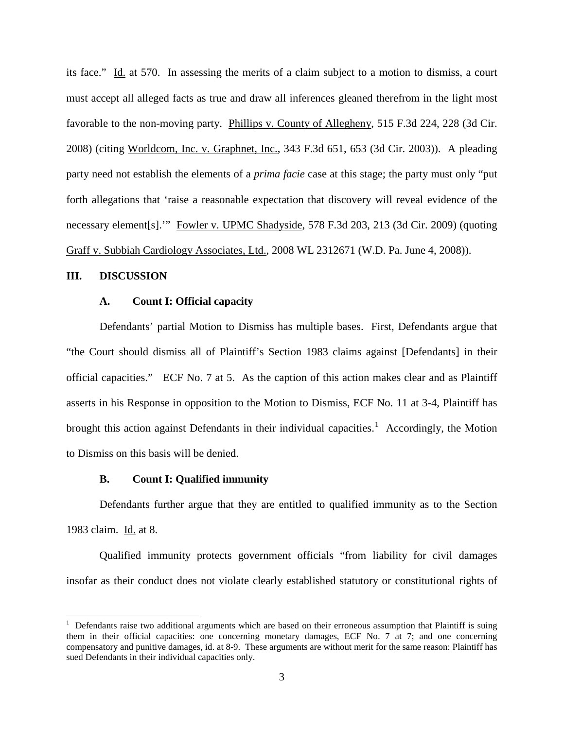its face." Id. at 570. In assessing the merits of a claim subject to a motion to dismiss, a court must accept all alleged facts as true and draw all inferences gleaned therefrom in the light most favorable to the non-moving party. Phillips v. County of Allegheny, 515 F.3d 224, 228 (3d Cir. 2008) (citing Worldcom, Inc. v. Graphnet, Inc., 343 F.3d 651, 653 (3d Cir. 2003)). A pleading party need not establish the elements of a *prima facie* case at this stage; the party must only "put forth allegations that 'raise a reasonable expectation that discovery will reveal evidence of the necessary element[s].'" Fowler v. UPMC Shadyside, 578 F.3d 203, 213 (3d Cir. 2009) (quoting Graff v. Subbiah Cardiology Associates, Ltd., 2008 WL 2312671 (W.D. Pa. June 4, 2008)).

### **III. DISCUSSION**

 $\overline{a}$ 

#### **A. Count I: Official capacity**

Defendants' partial Motion to Dismiss has multiple bases. First, Defendants argue that "the Court should dismiss all of Plaintiff's Section 1983 claims against [Defendants] in their official capacities." ECF No. 7 at 5. As the caption of this action makes clear and as Plaintiff asserts in his Response in opposition to the Motion to Dismiss, ECF No. 11 at 3-4, Plaintiff has brought this action against Defendants in their individual capacities.<sup>[1](#page-2-0)</sup> Accordingly, the Motion to Dismiss on this basis will be denied.

### **B. Count I: Qualified immunity**

Defendants further argue that they are entitled to qualified immunity as to the Section 1983 claim. Id. at 8.

Qualified immunity protects government officials "from liability for civil damages insofar as their conduct does not violate clearly established statutory or constitutional rights of

<span id="page-2-0"></span><sup>&</sup>lt;sup>1</sup> Defendants raise two additional arguments which are based on their erroneous assumption that Plaintiff is suing them in their official capacities: one concerning monetary damages, ECF No. 7 at 7; and one concerning compensatory and punitive damages, id. at 8-9. These arguments are without merit for the same reason: Plaintiff has sued Defendants in their individual capacities only.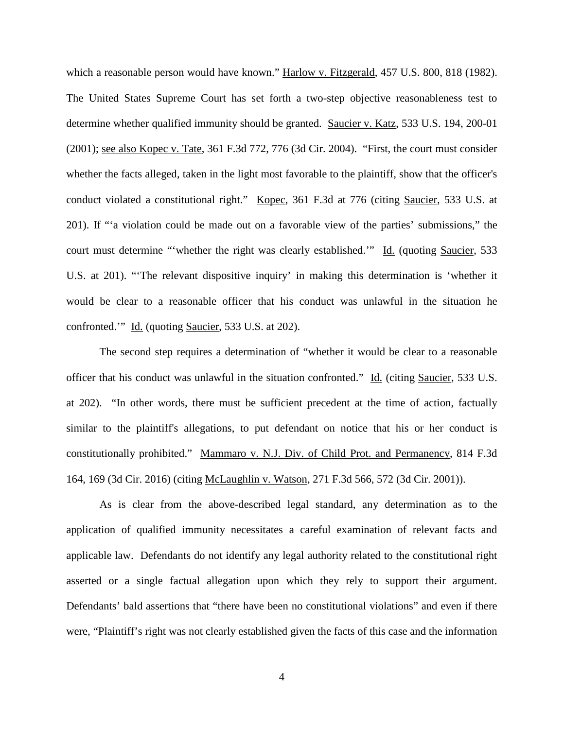which a reasonable person would have known." Harlow v. Fitzgerald, 457 U.S. 800, 818 (1982). The United States Supreme Court has set forth a two-step objective reasonableness test to determine whether qualified immunity should be granted. Saucier v. Katz, 533 U.S. 194, 200-01 (2001); see also Kopec v. Tate, 361 F.3d 772, 776 (3d Cir. 2004). "First, the court must consider whether the facts alleged, taken in the light most favorable to the plaintiff, show that the officer's conduct violated a constitutional right." Kopec, 361 F.3d at 776 (citing Saucier, 533 U.S. at 201). If "'a violation could be made out on a favorable view of the parties' submissions," the court must determine "'whether the right was clearly established.'" Id. (quoting Saucier, 533 U.S. at 201). "'The relevant dispositive inquiry' in making this determination is 'whether it would be clear to a reasonable officer that his conduct was unlawful in the situation he confronted.'" Id. (quoting Saucier, 533 U.S. at 202).

The second step requires a determination of "whether it would be clear to a reasonable officer that his conduct was unlawful in the situation confronted." Id. (citing Saucier, 533 U.S. at 202). "In other words, there must be sufficient precedent at the time of action, factually similar to the plaintiff's allegations, to put defendant on notice that his or her conduct is constitutionally prohibited." Mammaro v. N.J. Div. of Child Prot. and Permanency, 814 F.3d 164, 169 (3d Cir. 2016) (citing McLaughlin v. Watson, 271 F.3d 566, 572 (3d Cir. 2001)).

As is clear from the above-described legal standard, any determination as to the application of qualified immunity necessitates a careful examination of relevant facts and applicable law. Defendants do not identify any legal authority related to the constitutional right asserted or a single factual allegation upon which they rely to support their argument. Defendants' bald assertions that "there have been no constitutional violations" and even if there were, "Plaintiff's right was not clearly established given the facts of this case and the information